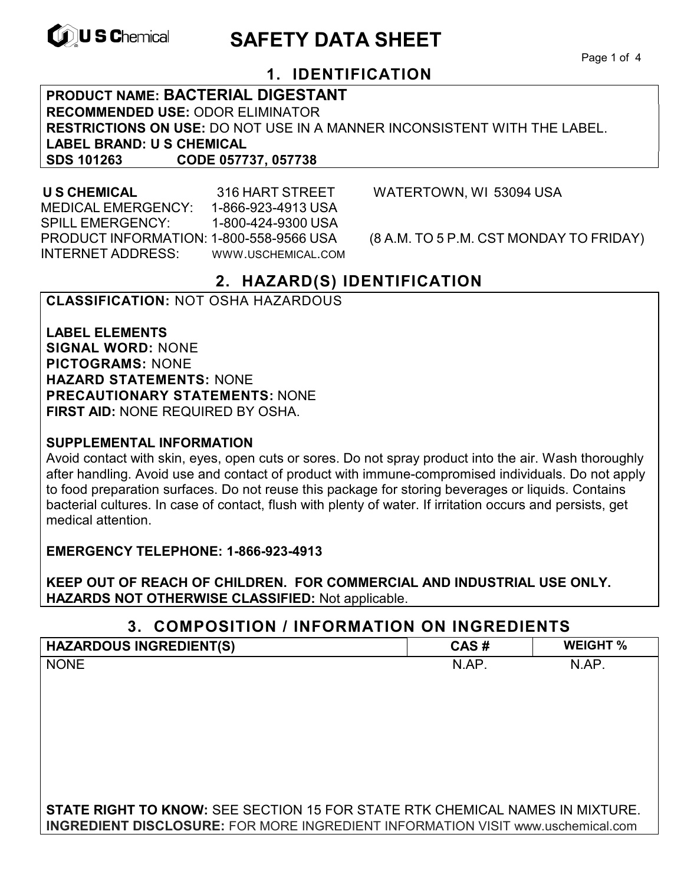

# **EXAGREM** SAFETY DATA SHEET

Page 1 of 4

# **1. IDENTIFICATION**

**PRODUCT NAME: BACTERIAL DIGESTANT RECOMMENDED USE:** ODOR ELIMINATOR **RESTRICTIONS ON USE:** DO NOT USE IN A MANNER INCONSISTENT WITH THE LABEL. **LABEL BRAND: U S CHEMICAL SDS 101263 CODE 057737, 057738**

 MEDICAL EMERGENCY: 1-866-923-4913 USA SPILL EMERGENCY: 1-800-424-9300 USA PRODUCT INFORMATION: 1-800-558-9566 USA (8 A.M. TO 5 P.M. CST MONDAY TO FRIDAY) INTERNET ADDRESS: WWW.USCHEMICAL.COM

**U S CHEMICAL** 316 HART STREET WATERTOWN, WI 53094 USA

# **2. HAZARD(S) IDENTIFICATION**

### **CLASSIFICATION:** NOT OSHA HAZARDOUS

**LABEL ELEMENTS SIGNAL WORD:** NONE **PICTOGRAMS:** NONE **HAZARD STATEMENTS:** NONE **PRECAUTIONARY STATEMENTS:** NONE **FIRST AID:** NONE REQUIRED BY OSHA.

#### **SUPPLEMENTAL INFORMATION**

Avoid contact with skin, eyes, open cuts or sores. Do not spray product into the air. Wash thoroughly after handling. Avoid use and contact of product with immune-compromised individuals. Do not apply to food preparation surfaces. Do not reuse this package for storing beverages or liquids. Contains bacterial cultures. In case of contact, flush with plenty of water. If irritation occurs and persists, get medical attention.

**EMERGENCY TELEPHONE: 1-866-923-4913** 

**KEEP OUT OF REACH OF CHILDREN. FOR COMMERCIAL AND INDUSTRIAL USE ONLY. HAZARDS NOT OTHERWISE CLASSIFIED:** Not applicable.

#### **3. COMPOSITION / INFORMATION ON INGREDIENTS**

| <b>HAZARDOUS INGREDIENT(S)</b>                                                         | CAS#  | <b>WEIGHT %</b> |
|----------------------------------------------------------------------------------------|-------|-----------------|
| <b>NONE</b>                                                                            | N.AP. | N.AP.           |
|                                                                                        |       |                 |
|                                                                                        |       |                 |
|                                                                                        |       |                 |
|                                                                                        |       |                 |
|                                                                                        |       |                 |
|                                                                                        |       |                 |
|                                                                                        |       |                 |
| <b>STATE RIGHT TO KNOW: SEE SECTION 15 FOR STATE RTK CHEMICAL NAMES IN MIXTURE.</b>    |       |                 |
| <b>INGREDIENT DISCLOSURE:</b> FOR MORE INGREDIENT INFORMATION VISIT www.uschemical.com |       |                 |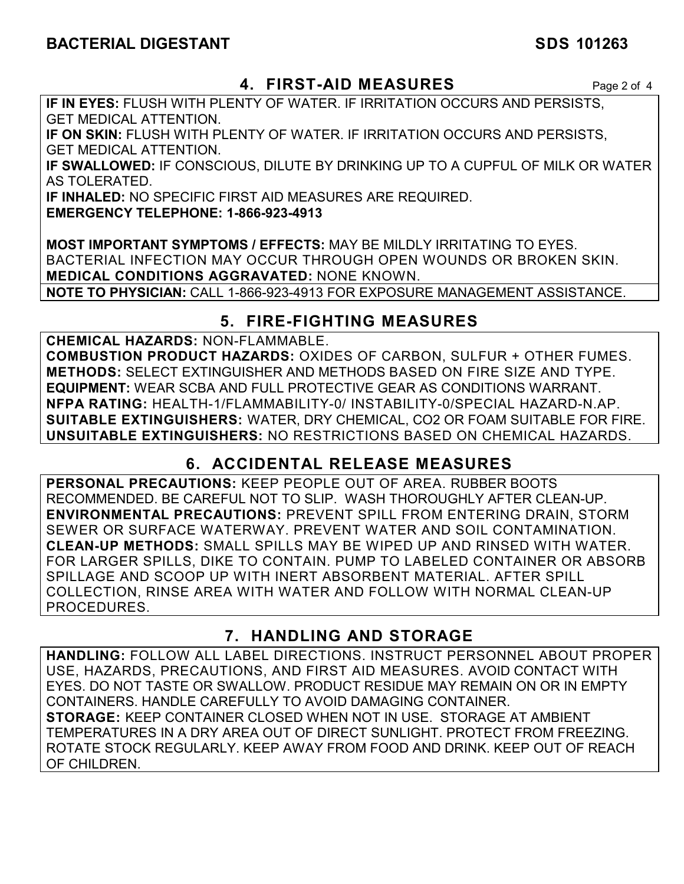# **4. FIRST-AID MEASURES** Page 2 of 4

**IF IN EYES:** FLUSH WITH PLENTY OF WATER. IF IRRITATION OCCURS AND PERSISTS, GET MEDICAL ATTENTION.

**IF ON SKIN:** FLUSH WITH PLENTY OF WATER. IF IRRITATION OCCURS AND PERSISTS, GET MEDICAL ATTENTION.

**IF SWALLOWED:** IF CONSCIOUS, DILUTE BY DRINKING UP TO A CUPFUL OF MILK OR WATER AS TOLERATED.

**IF INHALED:** NO SPECIFIC FIRST AID MEASURES ARE REQUIRED.

**EMERGENCY TELEPHONE: 1-866-923-4913** 

**MOST IMPORTANT SYMPTOMS / EFFECTS:** MAY BE MILDLY IRRITATING TO EYES. BACTERIAL INFECTION MAY OCCUR THROUGH OPEN WOUNDS OR BROKEN SKIN. **MEDICAL CONDITIONS AGGRAVATED:** NONE KNOWN.

**NOTE TO PHYSICIAN:** CALL 1-866-923-4913 FOR EXPOSURE MANAGEMENT ASSISTANCE.

# **5. FIRE-FIGHTING MEASURES**

**CHEMICAL HAZARDS:** NON-FLAMMABLE. **COMBUSTION PRODUCT HAZARDS:** OXIDES OF CARBON, SULFUR + OTHER FUMES. **METHODS:** SELECT EXTINGUISHER AND METHODS BASED ON FIRE SIZE AND TYPE. **EQUIPMENT:** WEAR SCBA AND FULL PROTECTIVE GEAR AS CONDITIONS WARRANT. **NFPA RATING:** HEALTH-1/FLAMMABILITY-0/ INSTABILITY-0/SPECIAL HAZARD-N.AP. **SUITABLE EXTINGUISHERS:** WATER, DRY CHEMICAL, CO2 OR FOAM SUITABLE FOR FIRE. **UNSUITABLE EXTINGUISHERS:** NO RESTRICTIONS BASED ON CHEMICAL HAZARDS.

# **6. ACCIDENTAL RELEASE MEASURES**

**PERSONAL PRECAUTIONS:** KEEP PEOPLE OUT OF AREA. RUBBER BOOTS RECOMMENDED. BE CAREFUL NOT TO SLIP. WASH THOROUGHLY AFTER CLEAN-UP. **ENVIRONMENTAL PRECAUTIONS:** PREVENT SPILL FROM ENTERING DRAIN, STORM SEWER OR SURFACE WATERWAY. PREVENT WATER AND SOIL CONTAMINATION. **CLEAN-UP METHODS:** SMALL SPILLS MAY BE WIPED UP AND RINSED WITH WATER. FOR LARGER SPILLS, DIKE TO CONTAIN. PUMP TO LABELED CONTAINER OR ABSORB SPILLAGE AND SCOOP UP WITH INERT ABSORBENT MATERIAL. AFTER SPILL COLLECTION, RINSE AREA WITH WATER AND FOLLOW WITH NORMAL CLEAN-UP PROCEDURES.

# **7. HANDLING AND STORAGE**

**HANDLING:** FOLLOW ALL LABEL DIRECTIONS. INSTRUCT PERSONNEL ABOUT PROPER USE, HAZARDS, PRECAUTIONS, AND FIRST AID MEASURES. AVOID CONTACT WITH EYES. DO NOT TASTE OR SWALLOW. PRODUCT RESIDUE MAY REMAIN ON OR IN EMPTY CONTAINERS. HANDLE CAREFULLY TO AVOID DAMAGING CONTAINER. **STORAGE:** KEEP CONTAINER CLOSED WHEN NOT IN USE. STORAGE AT AMBIENT TEMPERATURES IN A DRY AREA OUT OF DIRECT SUNLIGHT. PROTECT FROM FREEZING. ROTATE STOCK REGULARLY. KEEP AWAY FROM FOOD AND DRINK. KEEP OUT OF REACH OF CHILDREN.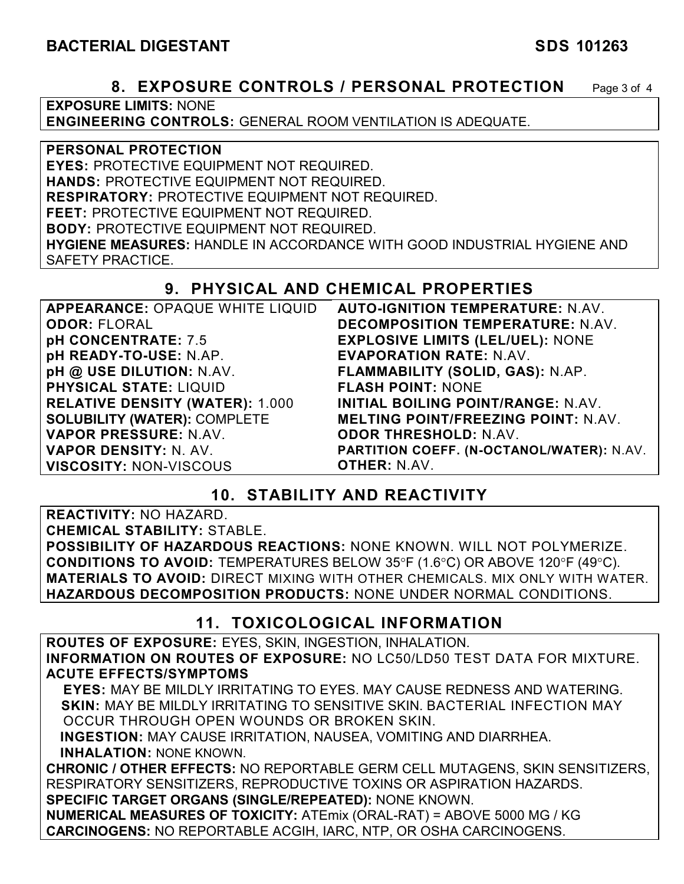### **8. EXPOSURE CONTROLS / PERSONAL PROTECTION** Page 3 of 4

**EXPOSURE LIMITS:** NONE

**ENGINEERING CONTROLS:** GENERAL ROOM VENTILATION IS ADEQUATE.

**PERSONAL PROTECTION** 

**EYES:** PROTECTIVE EQUIPMENT NOT REQUIRED.

**HANDS:** PROTECTIVE EQUIPMENT NOT REQUIRED.

**RESPIRATORY:** PROTECTIVE EQUIPMENT NOT REQUIRED.

**FEET:** PROTECTIVE EQUIPMENT NOT REQUIRED.

**BODY:** PROTECTIVE EQUIPMENT NOT REQUIRED.

**HYGIENE MEASURES:** HANDLE IN ACCORDANCE WITH GOOD INDUSTRIAL HYGIENE AND SAFETY PRACTICE.

# **9. PHYSICAL AND CHEMICAL PROPERTIES**

| APPEARANCE: OPAQUE WHITE LIQUID        | <b>AUTO-IGNITION TEMPERATURE: N.AV.</b>    |
|----------------------------------------|--------------------------------------------|
| <b>ODOR: FLORAL</b>                    | <b>DECOMPOSITION TEMPERATURE: N.AV.</b>    |
| pH CONCENTRATE: 7.5                    | <b>EXPLOSIVE LIMITS (LEL/UEL): NONE</b>    |
| pH READY-TO-USE: N.AP.                 | <b>EVAPORATION RATE: N.AV.</b>             |
| pH @ USE DILUTION: N.AV.               | FLAMMABILITY (SOLID, GAS): N.AP.           |
| <b>PHYSICAL STATE: LIQUID</b>          | <b>FLASH POINT: NONE</b>                   |
| <b>RELATIVE DENSITY (WATER): 1.000</b> | INITIAL BOILING POINT/RANGE: N.AV.         |
| <b>SOLUBILITY (WATER): COMPLETE</b>    | <b>MELTING POINT/FREEZING POINT: N.AV.</b> |
| VAPOR PRESSURE: N.AV.                  | <b>ODOR THRESHOLD: N.AV.</b>               |
| VAPOR DENSITY: N. AV.                  | PARTITION COEFF. (N-OCTANOL/WATER): N.AV.  |
| <b>VISCOSITY: NON-VISCOUS</b>          | <b>OTHER: N.AV.</b>                        |

# **10. STABILITY AND REACTIVITY**

**REACTIVITY:** NO HAZARD.

**CHEMICAL STABILITY:** STABLE.

**POSSIBILITY OF HAZARDOUS REACTIONS:** NONE KNOWN. WILL NOT POLYMERIZE. **CONDITIONS TO AVOID:** TEMPERATURES BELOW 35°F (1.6°C) OR ABOVE 120°F (49°C). **MATERIALS TO AVOID:** DIRECT MIXING WITH OTHER CHEMICALS. MIX ONLY WITH WATER. **HAZARDOUS DECOMPOSITION PRODUCTS:** NONE UNDER NORMAL CONDITIONS.

# **11. TOXICOLOGICAL INFORMATION**

**ROUTES OF EXPOSURE:** EYES, SKIN, INGESTION, INHALATION. **INFORMATION ON ROUTES OF EXPOSURE:** NO LC50/LD50 TEST DATA FOR MIXTURE. **ACUTE EFFECTS/SYMPTOMS**

 **EYES:** MAY BE MILDLY IRRITATING TO EYES. MAY CAUSE REDNESS AND WATERING. **SKIN:** MAY BE MILDLY IRRITATING TO SENSITIVE SKIN. BACTERIAL INFECTION MAY OCCUR THROUGH OPEN WOUNDS OR BROKEN SKIN.

 **INGESTION:** MAY CAUSE IRRITATION, NAUSEA, VOMITING AND DIARRHEA. **INHALATION:** NONE KNOWN.

**CHRONIC / OTHER EFFECTS:** NO REPORTABLE GERM CELL MUTAGENS, SKIN SENSITIZERS, RESPIRATORY SENSITIZERS, REPRODUCTIVE TOXINS OR ASPIRATION HAZARDS. **SPECIFIC TARGET ORGANS (SINGLE/REPEATED):** NONE KNOWN.

**NUMERICAL MEASURES OF TOXICITY:** ATEmix (ORAL-RAT) = ABOVE 5000 MG / KG **CARCINOGENS:** NO REPORTABLE ACGIH, IARC, NTP, OR OSHA CARCINOGENS.